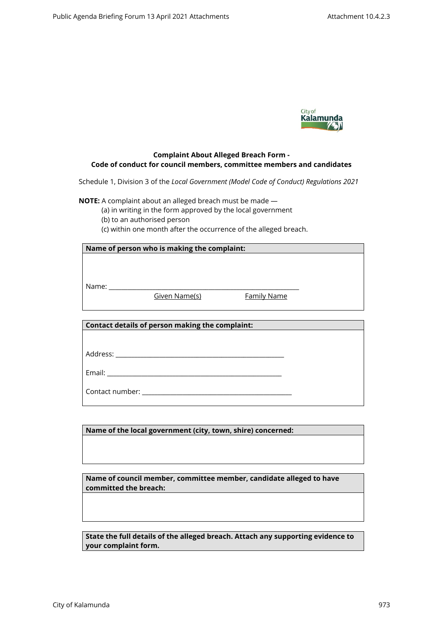

## **Complaint About Alleged Breach Form - Code of conduct for council members, committee members and candidates**

Schedule 1, Division 3 of the *Local Government (Model Code of Conduct) Regulations 2021*

**NOTE:** A complaint about an alleged breach must be made —

(a) in writing in the form approved by the local government

(b) to an authorised person

(c) within one month after the occurrence of the alleged breach.

| Name of person who is making the complaint: |                                                 |                    |  |
|---------------------------------------------|-------------------------------------------------|--------------------|--|
|                                             |                                                 |                    |  |
|                                             |                                                 |                    |  |
|                                             |                                                 |                    |  |
|                                             | Given Name(s)                                   | <b>Family Name</b> |  |
|                                             |                                                 |                    |  |
|                                             |                                                 |                    |  |
|                                             | Contact details of person making the complaint: |                    |  |
|                                             |                                                 |                    |  |
|                                             |                                                 |                    |  |
|                                             |                                                 |                    |  |
|                                             |                                                 |                    |  |
|                                             |                                                 |                    |  |
|                                             |                                                 |                    |  |
|                                             |                                                 |                    |  |

**Name of the local government (city, town, shire) concerned:**

**Name of council member, committee member, candidate alleged to have committed the breach:**

**State the full details of the alleged breach. Attach any supporting evidence to your complaint form.**